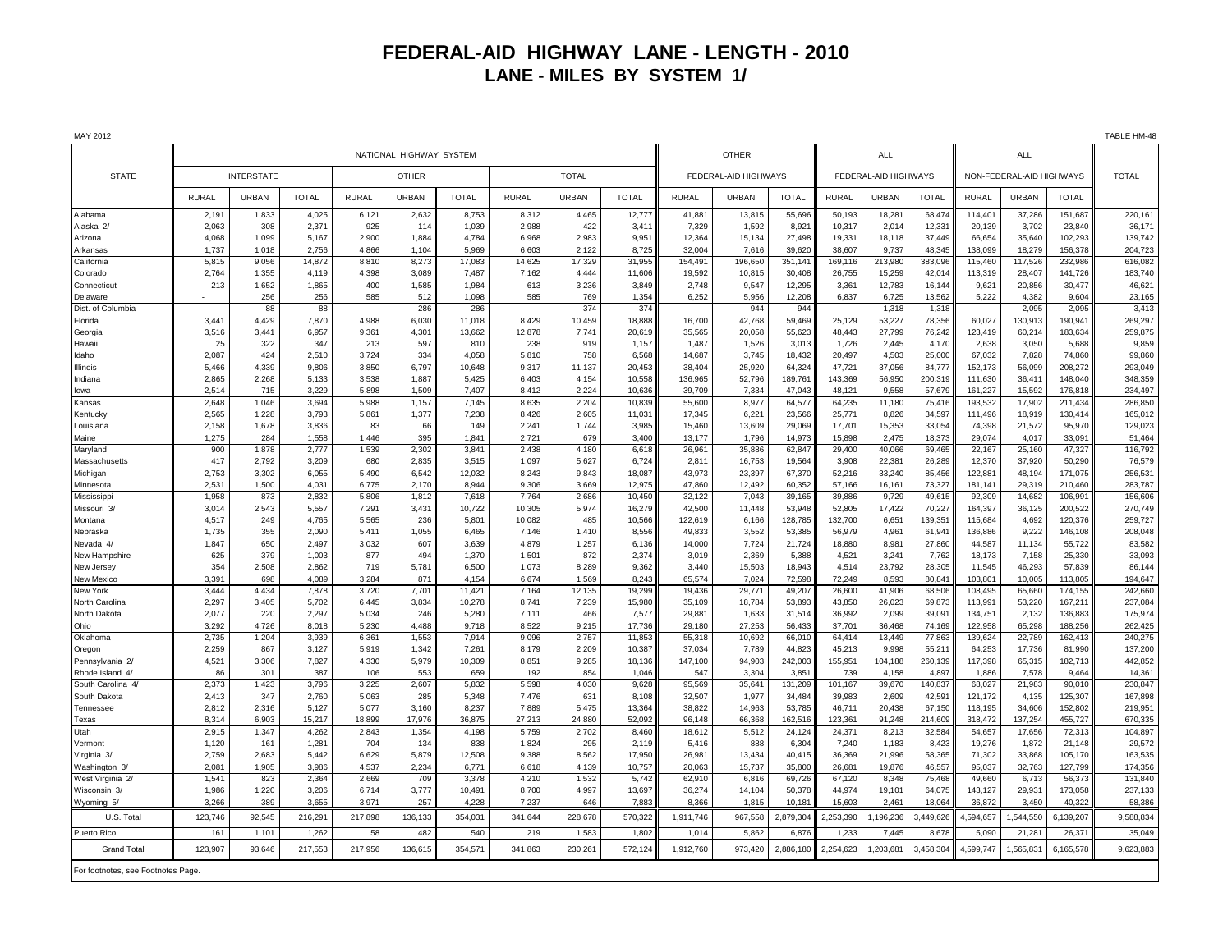## **FEDERAL-AID HIGHWAY LANE - LENGTH - 2010 LANE - MILES BY SYSTEM 1/**

| MAY 2012                           |                         |                |                 |                |                |                  |                 |                 |                  |                      |                  |                   |                      |                  |                   |                          |                   |                    | TABLE HM-48        |
|------------------------------------|-------------------------|----------------|-----------------|----------------|----------------|------------------|-----------------|-----------------|------------------|----------------------|------------------|-------------------|----------------------|------------------|-------------------|--------------------------|-------------------|--------------------|--------------------|
|                                    | NATIONAL HIGHWAY SYSTEM |                |                 |                |                |                  |                 |                 |                  |                      | <b>OTHER</b>     | <b>ALL</b>        |                      |                  | <b>ALL</b>        |                          |                   |                    |                    |
| <b>STATE</b>                       | <b>INTERSTATE</b>       |                |                 | <b>OTHER</b>   |                |                  | <b>TOTAL</b>    |                 |                  | FEDERAL-AID HIGHWAYS |                  |                   | FEDERAL-AID HIGHWAYS |                  |                   | NON-FEDERAL-AID HIGHWAYS |                   |                    | <b>TOTAL</b>       |
|                                    | <b>RURAL</b>            | URBAN          | <b>TOTAL</b>    | <b>RURAL</b>   | <b>URBAN</b>   | <b>TOTAL</b>     | <b>RURAL</b>    | <b>URBAN</b>    | <b>TOTAL</b>     | <b>RURAL</b>         | <b>URBAN</b>     | <b>TOTAL</b>      | <b>RURAL</b>         | <b>URBAN</b>     | <b>TOTAL</b>      | <b>RURAL</b>             | URBAN             | <b>TOTAL</b>       |                    |
| Alabama                            | 2,191                   | 1,833          | 4,025           | 6,121          | 2,632          | 8,753            | 8,312           | 4,465           | 12,777           | 41,881               | 13,815           | 55,696            | 50,193               | 18,281           | 68,474            | 114,401                  | 37,286            | 151,687            | 220,161            |
| Alaska <sub>2</sub>                | 2,063                   | 308            | 2,371           | 925            | 114            | 1,039            | 2,988           | 422             | 3,411            | 7,329                | 1,592            | 8,921             | 10,317               | 2,014            | 12,331            | 20,139                   | 3,702             | 23,840             | 36,171             |
| Arizona                            | 4,068                   | 1,099          | 5,167           | 2.900          | 1,884          | 4,784            | 6,968           | 2,983           | 9,951            | 12.364               | 15,134           | 27.498            | 19,331               | 18,118           | 37.449            | 66,654                   | 35,640            | 102.293            | 139,742            |
| Arkansas<br>California             | 1,737<br>5,815          | 1,018<br>9,056 | 2,756<br>14,872 | 4,866<br>8,810 | 1,104<br>8,273 | 5,969<br>17,083  | 6,603<br>14,625 | 2,122<br>17,329 | 8,725<br>31,955  | 32,004<br>154,491    | 7,616<br>196,650 | 39,620<br>351,141 | 38,607<br>169,116    | 9,737<br>213,980 | 48,345<br>383,096 | 138,099<br>115,460       | 18,279<br>117,526 | 156,378<br>232,986 | 204,723<br>616,082 |
| Colorado                           | 2,764                   | 1,355          | 4,119           | 4,398          | 3,089          | 7,487            | 7,162           | 4,444           | 11,606           | 19,592               | 10,815           | 30,408            | 26,755               | 15,259           | 42,014            | 113,319                  | 28,407            | 141,726            | 183,740            |
| Connecticut                        | 213                     | 1,652          | 1.865           | 400            | 1,585          | 1.984            | 613             | 3.236           | 3.849            | 2.748                | 9.547            | 12.295            | 3.361                | 12,783           | 16.144            | 9.621                    | 20.856            | 30.477             | 46,621             |
| Delaware                           |                         | 256            | 256             | 585            | 512            | 1,098            | 585             | 769             | 1,354            | 6,252                | 5,956            | 12,208            | 6,837                | 6,725            | 13,562            | 5,222                    | 4,382             | 9,604              | 23,165             |
| Dist. of Columbia                  |                         | 88             | 88              |                | 286            | 286              |                 | 374             | 374              |                      | 944              | 944               | $\sim$               | 1,318            | 1,318             | $\sim$                   | 2,095             | 2,095              | 3,413              |
| Florida                            | 3,441                   | 4,429          | 7,870           | 4,988          | 6,030          | 11,018           | 8,429           | 10,459          | 18,888           | 16,700               | 42,768           | 59,469            | 25,129               | 53,227           | 78,356            | 60,027                   | 130,913           | 190.941            | 269,297            |
| Georgia                            | 3,516                   | 3,441          | 6,957           | 9,361          | 4,301          | 13,662           | 12,878          | 7,741           | 20,619           | 35,565               | 20,058           | 55,623            | 48,443               | 27,799           | 76,242            | 123,419                  | 60,214            | 183,634            | 259,875            |
| Hawaii                             | 25                      | 322            | 347             | 213            | 597            | 810              | 238             | 919             | 1,157            | 1,487                | 1,526            | 3,013             | 1,726                | 2,445            | 4,170             | 2,638                    | 3,050             | 5,688              | 9,859              |
| Idaho                              | 2,087                   | 424            | 2,510           | 3,724          | 334            | 4,058            | 5,810           | 758             | 6,568            | 14,687               | 3,745            | 18,432            | 20,497               | 4,503            | 25,000            | 67,032                   | 7,828             | 74,860             | 99,860             |
| Illinois<br>Indiana                | 5.466<br>2,865          | 4,339<br>2,268 | 9.806<br>5,133  | 3,850<br>3,538 | 6,797<br>1,887 | 10,648<br>5,425  | 9,317<br>6,403  | 11,137<br>4,154 | 20,453<br>10,558 | 38,404<br>136,965    | 25,920<br>52,796 | 64,324<br>189,761 | 47,721<br>143,369    | 37,056<br>56,950 | 84,777<br>200,319 | 152,173<br>111,630       | 56.099<br>36,411  | 208.272<br>148,040 | 293,049<br>348,359 |
| owa                                | 2,514                   | 715            | 3,229           | 5,898          | 1,509          | 7,407            | 8,412           | 2,224           | 10,636           | 39,709               | 7,334            | 47,043            | 48,121               | 9,558            | 57,679            | 161,227                  | 15,592            | 176,818            | 234,497            |
| Kansas                             | 2,648                   | 1,046          | 3,694           | 5,988          | 1,157          | 7,145            | 8,635           | 2,204           | 10,839           | 55,600               | 8,977            | 64,577            | 64,235               | 11,180           | 75,416            | 193,532                  | 17,902            | 211,434            | 286,850            |
| Kentucky                           | 2.565                   | 1.228          | 3.793           | 5,861          | 1,377          | 7,238            | 8.426           | 2.605           | 11.031           | 17.345               | 6.221            | 23.566            | 25.771               | 8.826            | 34.597            | 111.496                  | 18.919            | 130.414            | 165,012            |
| Louisiana                          | 2,158                   | 1,678          | 3,836           | 83             | 66             | 149              | 2,241           | 1,744           | 3,985            | 15,460               | 13,609           | 29,069            | 17,701               | 15,353           | 33,054            | 74,398                   | 21,572            | 95,970             | 129,023            |
| Maine                              | 1,275                   | 284            | 1,558           | 1,446          | 395            | 1,841            | 2,721           | 679             | 3,400            | 13,177               | 1,796            | 14,973            | 15,898               | 2,475            | 18,373            | 29,074                   | 4,017             | 33,091             | 51,464             |
| Maryland                           | 900                     | 1,878          | 2,777           | 1,539          | 2,302          | 3,841            | 2,438           | 4,180           | 6,618            | 26,961               | 35,886           | 62,847            | 29,400               | 40,066           | 69,465            | 22,167                   | 25,160            | 47,327             | 116,792            |
| Massachusetts                      | 417                     | 2,792          | 3,209           | 680            | 2,835          | 3,515            | 1,097           | 5,627           | 6,724            | 2,811                | 16,753           | 19,564            | 3,908                | 22,381           | 26,289            | 12,370                   | 37,920            | 50,290             | 76,579             |
| Michigan                           | 2,753<br>2,531          | 3,302          | 6,055<br>4,031  | 5,490          | 6,542<br>2,170 | 12,032<br>8,944  | 8,243<br>9,306  | 9,843<br>3,669  | 18,087           | 43,973<br>47,860     | 23,397           | 67,370<br>60,352  | 52,216<br>57,166     | 33,240           | 85,456            | 122,881<br>181,141       | 48,194<br>29,319  | 171,075<br>210,460 | 256,531<br>283,787 |
| Minnesota<br>Mississipp            | 1.958                   | 1,500<br>873   | 2,832           | 6,775<br>5.806 | 1,812          | 7,618            | 7.764           | 2.686           | 12,975<br>10,450 | 32,122               | 12,492<br>7.043  | 39,165            | 39.886               | 16,161<br>9,729  | 73,327<br>49,615  | 92.309                   | 14,682            | 106,991            | 156,606            |
| Missouri 3/                        | 3,014                   | 2,543          | 5,557           | 7,291          | 3,431          | 10,722           | 10,305          | 5,974           | 16,279           | 42,500               | 11,448           | 53,948            | 52,805               | 17,422           | 70,227            | 164,397                  | 36,125            | 200,522            | 270,749            |
| Montana                            | 4,517                   | 249            | 4,765           | 5,565          | 236            | 5,801            | 10,082          | 485             | 10,566           | 122,619              | 6,166            | 128,785           | 132,700              | 6,651            | 139,351           | 115,684                  | 4,692             | 120,376            | 259,727            |
| Nebraska                           | 1,735                   | 355            | 2.090           | 5,411          | 1,055          | 6.465            | 7,146           | 1,410           | 8,556            | 49.833               | 3.552            | 53,385            | 56.979               | 4.961            | 61,941            | 136,886                  | 9.222             | 146.108            | 208,048            |
| Nevada 4                           | 1.847                   | 650            | 2.497           | 3.032          | 607            | 3.639            | 4.879           | 1.257           | 6.136            | 14.000               | 7.724            | 21.724            | 18,880               | 8,981            | 27.860            | 44.587                   | 11,134            | 55.722             | 83.582             |
| New Hampshire                      | 625                     | 379            | 1,003           | 877            | 494            | 1,370            | 1,501           | 872             | 2,374            | 3,019                | 2,369            | 5,388             | 4,521                | 3,241            | 7,762             | 18,173                   | 7,158             | 25,330             | 33,093             |
| New Jersey                         | 354                     | 2,508          | 2,862           | 719            | 5,781          | 6,500            | 1,073           | 8,289           | 9,362            | 3,440                | 15,503           | 18,943            | 4,514                | 23,792           | 28,305            | 11,545                   | 46,293            | 57,839             | 86,144             |
| <b>New Mexico</b>                  | 3.391                   | 698            | 4.089           | 3,284          | 871            | 4.154            | 6,674           | 1,569           | 8.243            | 65.574               | 7,024            | 72,598            | 72.249               | 8,593            | 80.841            | 103.801                  | 10,005            | 113,805            | 194,647            |
| New York<br>North Carolina         | 3,444<br>2,297          | 4,434<br>3,405 | 7,878<br>5,702  | 3,720<br>6,445 | 7,701<br>3,834 | 11,421<br>10,278 | 7,164<br>8,741  | 12,135          | 19,299<br>15,980 | 19,436<br>35,109     | 29,771<br>18,784 | 49,207<br>53,893  | 26,600<br>43,850     | 41,906           | 68,506            | 108,495                  | 65,660<br>53,220  | 174,155<br>167,211 | 242,660<br>237,084 |
| North Dakota                       | 2,077                   | 220            | 2,297           | 5,034          | 246            | 5,280            | 7,111           | 7,239<br>466    | 7,577            | 29,881               | 1,633            | 31,514            | 36,992               | 26,023<br>2,099  | 69,873<br>39,091  | 113,991<br>134,751       | 2,132             | 136,883            | 175,974            |
| Ohio                               | 3.292                   | 4,726          | 8.018           | 5.230          | 4.488          | 9.718            | 8.522           | 9.215           | 17.736           | 29.180               | 27.253           | 56.433            | 37.701               | 36,468           | 74.169            | 122.958                  | 65.298            | 188.256            | 262,425            |
| Oklahoma                           | 2,735                   | 1,204          | 3,939           | 6,361          | 1,553          | 7,914            | 9,096           | 2,757           | 11,853           | 55,318               | 10,692           | 66,010            | 64,414               | 13,449           | 77,863            | 139,624                  | 22,789            | 162,413            | 240,275            |
| Oregon                             | 2,259                   | 867            | 3,127           | 5,919          | 1,342          | 7,261            | 8,179           | 2,209           | 10,387           | 37,034               | 7,789            | 44,823            | 45,213               | 9,998            | 55,211            | 64,253                   | 17,736            | 81,990             | 137,200            |
| Pennsylvania 2/                    | 4,521                   | 3,306          | 7,827           | 4,330          | 5,979          | 10,309           | 8,851           | 9,285           | 18,136           | 147.100              | 94,903           | 242,003           | 155,951              | 104,188          | 260,139           | 117,398                  | 65,315            | 182,713            | 442,852            |
| Rhode Island 4/                    | 86                      | 301            | 387             | 106            | 553            | 659              | 192             | 854             | 1.046            | 547                  | 3.304            | 3.851             | 739                  | 4.158            | 4.897             | 1.886                    | 7,578             | 9.464              | 14.361             |
| South Carolina 4/                  | 2,373                   | 1,423          | 3,796           | 3,225          | 2,607          | 5,832            | 5,598           | 4,030           | 9,628            | 95,569               | 35,641           | 131,209           | 101,167              | 39,670           | 140,837           | 68,027                   | 21,983            | 90,010             | 230,847            |
| South Dakota<br>Tennessee          | 2,413<br>2.812          | 347<br>2.316   | 2,760<br>5.127  | 5,063<br>5.077 | 285<br>3.160   | 5,348<br>8.237   | 7,476<br>7.889  | 631<br>5.475    | 8,108<br>13.364  | 32,507<br>38.822     | 1,977<br>14.963  | 34,484<br>53.785  | 39,983<br>46.711     | 2,609<br>20.438  | 42,591<br>67.150  | 121,172<br>118.195       | 4,135<br>34,606   | 125,307<br>152.802 | 167,898<br>219,951 |
| Texas                              | 8,314                   | 6,903          | 15,217          | 18,899         | 17,976         | 36,875           | 27,213          | 24,880          | 52,092           | 96,148               | 66,368           | 162,516           | 123,361              | 91,248           | 214,609           | 318,472                  | 137,254           | 455,727            | 670,335            |
| Utah                               | 2,915                   | 1,347          | 4,262           | 2,843          | 1,354          | 4,198            | 5,759           | 2,702           | 8,460            | 18,612               | 5,512            | 24,124            | 24,371               | 8,213            | 32,584            | 54,657                   | 17,656            | 72,313             | 104,897            |
| Vermont                            | 1,120                   | 161            | 1,281           | 704            | 134            | 838              | 1,824           | 295             | 2,119            | 5,416                | 888              | 6,304             | 7,240                | 1,183            | 8,423             | 19,276                   | 1,872             | 21,148             | 29,572             |
| Virginia 3/                        | 2.759                   | 2.683          | 5.442           | 6.629          | 5.879          | 12.508           | 9.388           | 8,562           | 17.950           | 26.981               | 13.434           | 40.415            | 36.369               | 21.996           | 58.365            | 71.302                   | 33,868            | 105.170            | 163,535            |
| Washington 3/                      | 2,081                   | 1,905          | 3,986           | 4,537          | 2,234          | 6,771            | 6,618           | 4,139           | 10,757           | 20,063               | 15,737           | 35,800            | 26,681               | 19,876           | 46,557            | 95,037                   | 32,763            | 127,799            | 174,356            |
| West Virginia 2/                   | 1,541                   | 823            | 2,364           | 2,669          | 709            | 3,378            | 4,210           | 1,532           | 5,742            | 62,910               | 6,816            | 69,726            | 67,120               | 8,348            | 75,468            | 49,660                   | 6,713             | 56,373             | 131,840            |
| Wisconsin 3/                       | 1.986                   | 1,220          | 3.206           | 6,714          | 3,777          | 10,491           | 8,700           | 4,997           | 13,697           | 36,274               | 14,104           | 50,378            | 44.974               | 19,101           | 64,075            | 143,127                  | 29,931            | 173,058            | 237,133            |
| Wyoming 5/                         | 3.266                   | 389            | 3.655           | 3.971          | 257            | 4.228            | 7.237           | 646             | 7.883            | 8.366                | 1.815            | 10.181            | 15.603               | 2.461            | 18.064            | 36,872                   | 3.450             | 40.322             | 58,386             |
| U.S. Total                         | 123,746                 | 92.545         | 216,291         | 217,898        | 136,133        | 354,031          | 341.644         | 228.678         | 570.322          | 1,911,746            | 967,558          | 2,879,304         | 2,253,390            | 1,196,236        | 3,449,626         | 4,594,657                | 1.544.550         | 6.139.207          | 9,588,834          |
| Puerto Rico                        | 161                     | 1,10           | 1,262           | 58             | 482            | 540              | 219             | 1,583           | 1,802            | 1,014                | 5,862            | 6,876             | 1,233                | 7,445            | 8,678             | 5,090                    | 21,281            | 26,371             | 35,049             |
| <b>Grand Total</b>                 | 123,907                 | 93,646         | 217,553         | 217,956        | 136,615        | 354,571          | 341,863         | 230,261         | 572,124          | 1,912,760            | 973,420          | 2,886,180         | 2,254,623            | 1,203,681        | 3,458,304         | 4,599,747                | 1,565,831         | 6,165,578          | 9,623,883          |
| For footnotes, see Footnotes Page. |                         |                |                 |                |                |                  |                 |                 |                  |                      |                  |                   |                      |                  |                   |                          |                   |                    |                    |